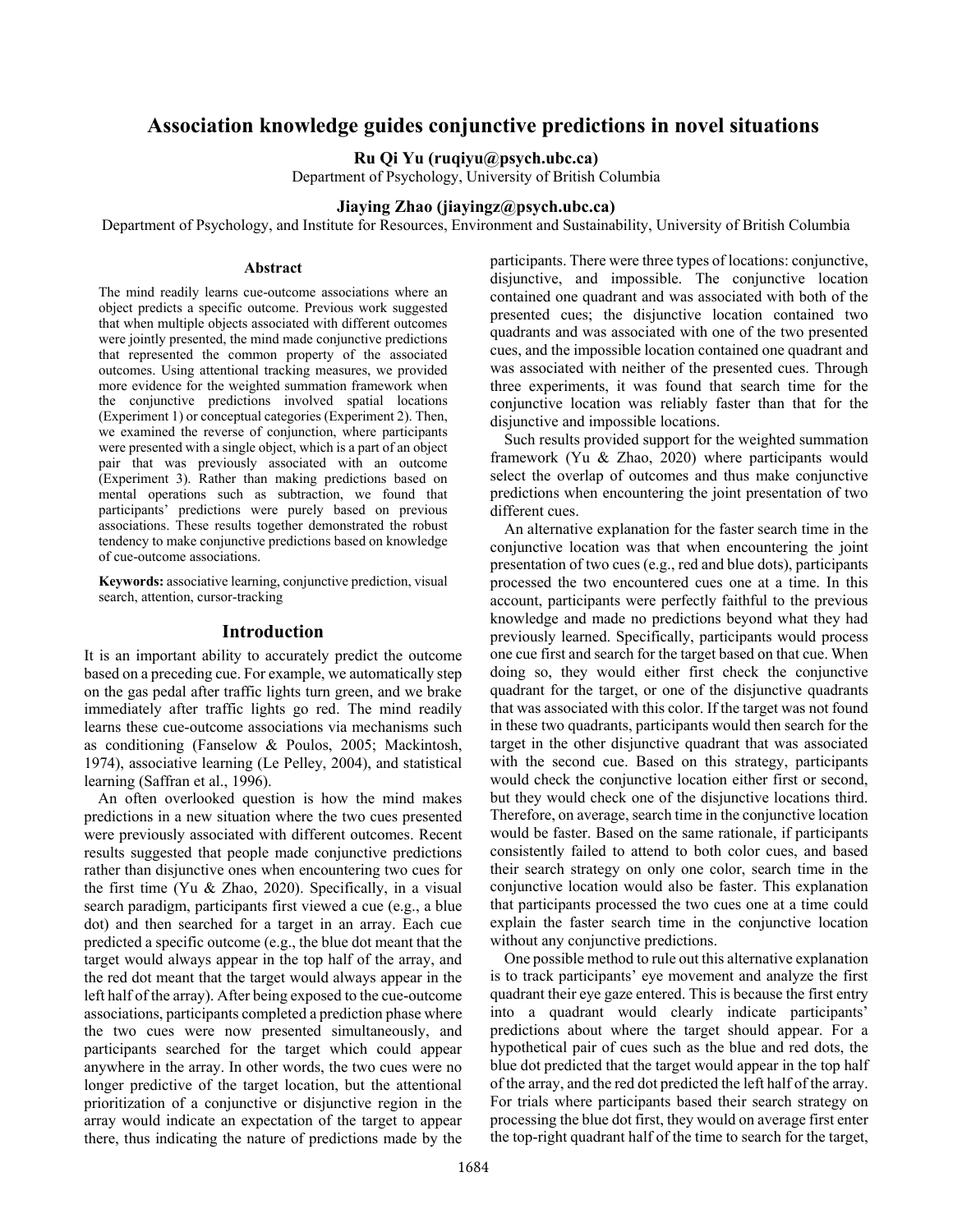# **Association knowledge guides conjunctive predictions in novel situations**

**Ru Qi Yu (ruqiyu@psych.ubc.ca)**

Department of Psychology, University of British Columbia

# **Jiaying Zhao (jiayingz@psych.ubc.ca)**

Department of Psychology, and Institute for Resources, Environment and Sustainability, University of British Columbia

#### **Abstract**

The mind readily learns cue-outcome associations where an object predicts a specific outcome. Previous work suggested that when multiple objects associated with different outcomes were jointly presented, the mind made conjunctive predictions that represented the common property of the associated outcomes. Using attentional tracking measures, we provided more evidence for the weighted summation framework when the conjunctive predictions involved spatial locations (Experiment 1) or conceptual categories (Experiment 2). Then, we examined the reverse of conjunction, where participants were presented with a single object, which is a part of an object pair that was previously associated with an outcome (Experiment 3). Rather than making predictions based on mental operations such as subtraction, we found that participants' predictions were purely based on previous associations. These results together demonstrated the robust tendency to make conjunctive predictions based on knowledge of cue-outcome associations.

**Keywords:** associative learning, conjunctive prediction, visual search, attention, cursor-tracking

### **Introduction**

It is an important ability to accurately predict the outcome based on a preceding cue. For example, we automatically step on the gas pedal after traffic lights turn green, and we brake immediately after traffic lights go red. The mind readily learns these cue-outcome associations via mechanisms such as conditioning (Fanselow & Poulos, 2005; Mackintosh, 1974), associative learning (Le Pelley, 2004), and statistical learning (Saffran et al., 1996).

An often overlooked question is how the mind makes predictions in a new situation where the two cues presented were previously associated with different outcomes. Recent results suggested that people made conjunctive predictions rather than disjunctive ones when encountering two cues for the first time (Yu & Zhao, 2020). Specifically, in a visual search paradigm, participants first viewed a cue (e.g., a blue dot) and then searched for a target in an array. Each cue predicted a specific outcome (e.g., the blue dot meant that the target would always appear in the top half of the array, and the red dot meant that the target would always appear in the left half of the array). After being exposed to the cue-outcome associations, participants completed a prediction phase where the two cues were now presented simultaneously, and participants searched for the target which could appear anywhere in the array. In other words, the two cues were no longer predictive of the target location, but the attentional prioritization of a conjunctive or disjunctive region in the array would indicate an expectation of the target to appear there, thus indicating the nature of predictions made by the participants. There were three types of locations: conjunctive, disjunctive, and impossible. The conjunctive location contained one quadrant and was associated with both of the presented cues; the disjunctive location contained two quadrants and was associated with one of the two presented cues, and the impossible location contained one quadrant and was associated with neither of the presented cues. Through three experiments, it was found that search time for the conjunctive location was reliably faster than that for the disjunctive and impossible locations.

Such results provided support for the weighted summation framework (Yu & Zhao, 2020) where participants would select the overlap of outcomes and thus make conjunctive predictions when encountering the joint presentation of two different cues.

An alternative explanation for the faster search time in the conjunctive location was that when encountering the joint presentation of two cues (e.g., red and blue dots), participants processed the two encountered cues one at a time. In this account, participants were perfectly faithful to the previous knowledge and made no predictions beyond what they had previously learned. Specifically, participants would process one cue first and search for the target based on that cue. When doing so, they would either first check the conjunctive quadrant for the target, or one of the disjunctive quadrants that was associated with this color. If the target was not found in these two quadrants, participants would then search for the target in the other disjunctive quadrant that was associated with the second cue. Based on this strategy, participants would check the conjunctive location either first or second, but they would check one of the disjunctive locations third. Therefore, on average, search time in the conjunctive location would be faster. Based on the same rationale, if participants consistently failed to attend to both color cues, and based their search strategy on only one color, search time in the conjunctive location would also be faster. This explanation that participants processed the two cues one at a time could explain the faster search time in the conjunctive location without any conjunctive predictions.

One possible method to rule out this alternative explanation is to track participants' eye movement and analyze the first quadrant their eye gaze entered. This is because the first entry into a quadrant would clearly indicate participants' predictions about where the target should appear. For a hypothetical pair of cues such as the blue and red dots, the blue dot predicted that the target would appear in the top half of the array, and the red dot predicted the left half of the array. For trials where participants based their search strategy on processing the blue dot first, they would on average first enter the top-right quadrant half of the time to search for the target,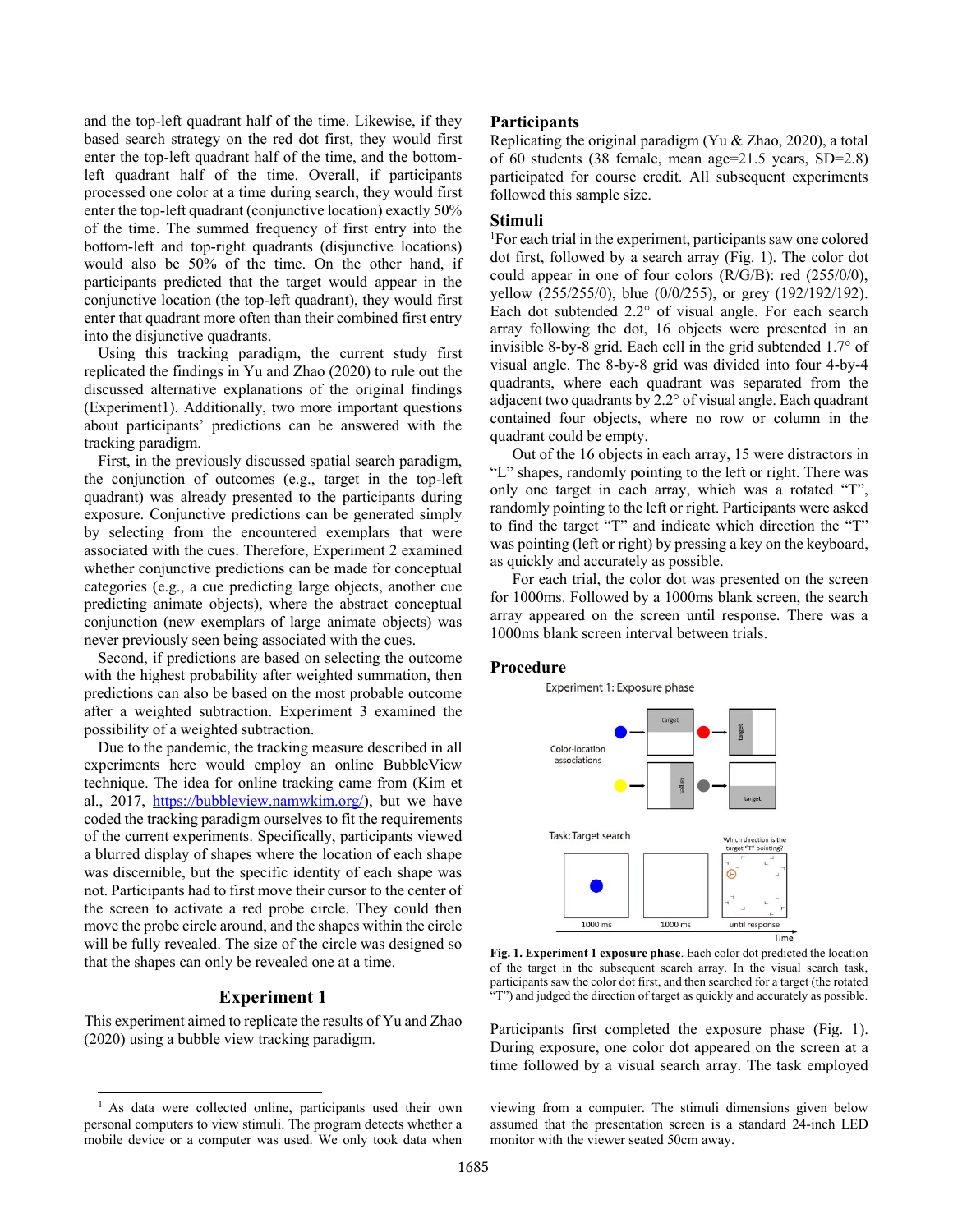and the top-left quadrant half of the time. Likewise, if they based search strategy on the red dot first, they would first enter the top-left quadrant half of the time, and the bottomleft quadrant half of the time. Overall, if participants processed one color at a time during search, they would first enter the top-left quadrant (conjunctive location) exactly 50% of the time. The summed frequency of first entry into the bottom-left and top-right quadrants (disjunctive locations) would also be 50% of the time. On the other hand, if participants predicted that the target would appear in the conjunctive location (the top-left quadrant), they would first enter that quadrant more often than their combined first entry into the disjunctive quadrants.

Using this tracking paradigm, the current study first replicated the findings in Yu and Zhao (2020) to rule out the discussed alternative explanations of the original findings (Experiment1). Additionally, two more important questions about participants' predictions can be answered with the tracking paradigm.

First, in the previously discussed spatial search paradigm, the conjunction of outcomes (e.g., target in the top-left quadrant) was already presented to the participants during exposure. Conjunctive predictions can be generated simply by selecting from the encountered exemplars that were associated with the cues. Therefore, Experiment 2 examined whether conjunctive predictions can be made for conceptual categories (e.g., a cue predicting large objects, another cue predicting animate objects), where the abstract conceptual conjunction (new exemplars of large animate objects) was never previously seen being associated with the cues.

Second, if predictions are based on selecting the outcome with the highest probability after weighted summation, then predictions can also be based on the most probable outcome after a weighted subtraction. Experiment 3 examined the possibility of a weighted subtraction.

Due to the pandemic, the tracking measure described in all experiments here would employ an online BubbleView technique. The idea for online tracking came from (Kim et al., 2017, [https://bubbleview.namwkim.org/\)](https://bubbleview.namwkim.org/), but we have coded the tracking paradigm ourselves to fit the requirements of the current experiments. Specifically, participants viewed a blurred display of shapes where the location of each shape was discernible, but the specific identity of each shape was not. Participants had to first move their cursor to the center of the screen to activate a red probe circle. They could then move the probe circle around, and the shapes within the circle will be fully revealed. The size of the circle was designed so that the shapes can only be revealed one at a time.

# **Experiment 1**

This experiment aimed to replicate the results of Yu and Zhao (2020) using a bubble view tracking paradigm.

### **Participants**

Replicating the original paradigm (Yu  $&$  Zhao, 2020), a total of 60 students (38 female, mean age=21.5 years, SD=2.8) participated for course credit. All subsequent experiments followed this sample size.

### **Stimuli**

1 For each trial in the experiment, participants saw one colored dot first, followed by a search array (Fig. 1). The color dot could appear in one of four colors (R/G/B): red (255/0/0), yellow (255/255/0), blue (0/0/255), or grey (192/192/192). Each dot subtended 2.2° of visual angle. For each search array following the dot, 16 objects were presented in an invisible 8-by-8 grid. Each cell in the grid subtended 1.7° of visual angle. The 8-by-8 grid was divided into four 4-by-4 quadrants, where each quadrant was separated from the adjacent two quadrants by 2.2° of visual angle. Each quadrant contained four objects, where no row or column in the quadrant could be empty.

Out of the 16 objects in each array, 15 were distractors in "L" shapes, randomly pointing to the left or right. There was only one target in each array, which was a rotated "T", randomly pointing to the left or right. Participants were asked to find the target "T" and indicate which direction the "T" was pointing (left or right) by pressing a key on the keyboard, as quickly and accurately as possible.

For each trial, the color dot was presented on the screen for 1000ms. Followed by a 1000ms blank screen, the search array appeared on the screen until response. There was a 1000ms blank screen interval between trials.

# **Procedure**

Experiment 1: Exposure phase



**Fig. 1. Experiment 1 exposure phase**. Each color dot predicted the location of the target in the subsequent search array. In the visual search task, participants saw the color dot first, and then searched for a target (the rotated "T") and judged the direction of target as quickly and accurately as possible.

Participants first completed the exposure phase (Fig. 1). During exposure, one color dot appeared on the screen at a time followed by a visual search array. The task employed

viewing from a computer. The stimuli dimensions given below assumed that the presentation screen is a standard 24-inch LED monitor with the viewer seated 50cm away.

<sup>&</sup>lt;sup>1</sup> As data were collected online, participants used their own personal computers to view stimuli. The program detects whether a mobile device or a computer was used. We only took data when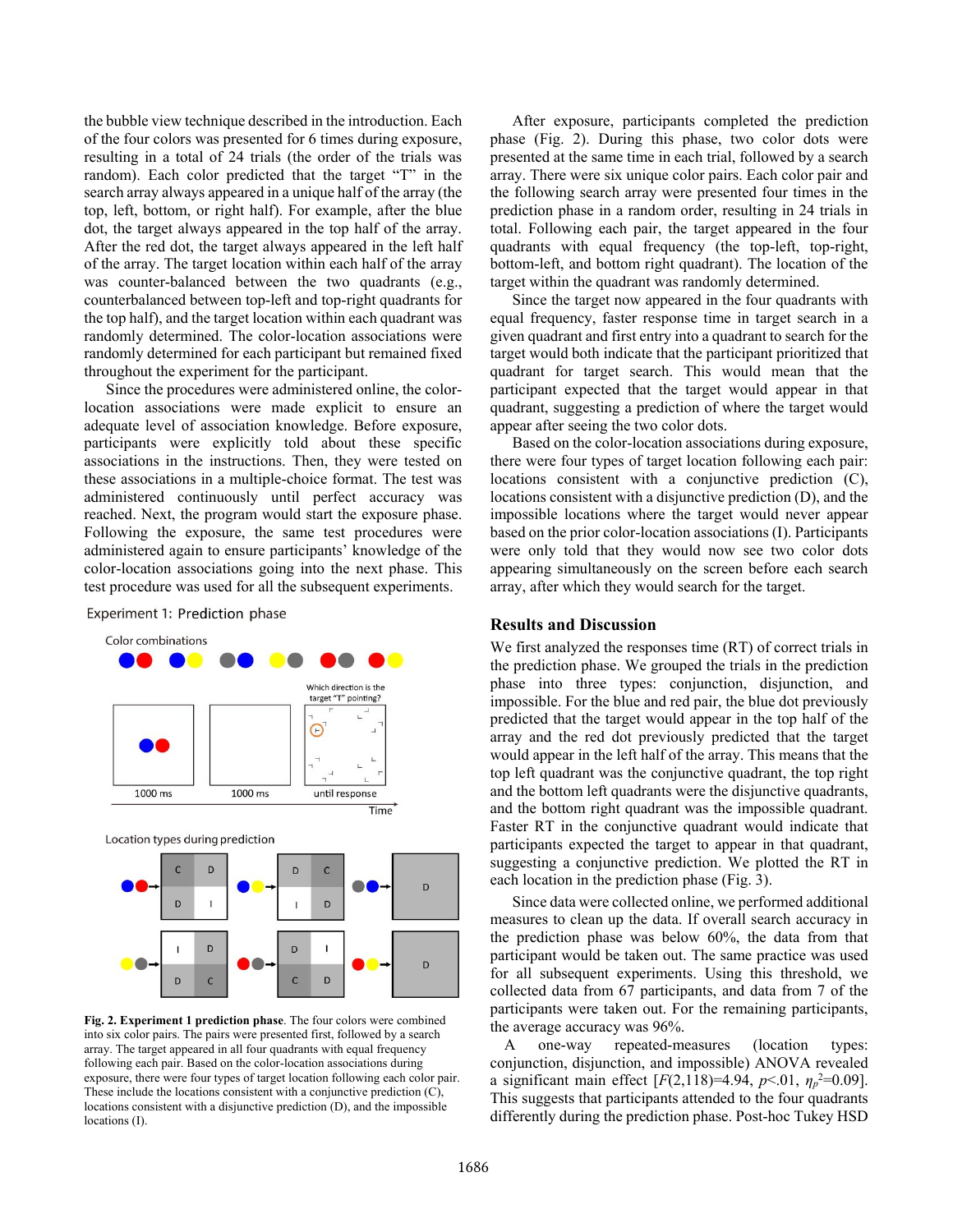the bubble view technique described in the introduction. Each of the four colors was presented for 6 times during exposure, resulting in a total of 24 trials (the order of the trials was random). Each color predicted that the target "T" in the search array always appeared in a unique half of the array (the top, left, bottom, or right half). For example, after the blue dot, the target always appeared in the top half of the array. After the red dot, the target always appeared in the left half of the array. The target location within each half of the array was counter-balanced between the two quadrants (e.g., counterbalanced between top-left and top-right quadrants for the top half), and the target location within each quadrant was randomly determined. The color-location associations were randomly determined for each participant but remained fixed throughout the experiment for the participant.

Since the procedures were administered online, the colorlocation associations were made explicit to ensure an adequate level of association knowledge. Before exposure, participants were explicitly told about these specific associations in the instructions. Then, they were tested on these associations in a multiple-choice format. The test was administered continuously until perfect accuracy was reached. Next, the program would start the exposure phase. Following the exposure, the same test procedures were administered again to ensure participants' knowledge of the color-location associations going into the next phase. This test procedure was used for all the subsequent experiments.

Experiment 1: Prediction phase



**Fig. 2. Experiment 1 prediction phase**. The four colors were combined into six color pairs. The pairs were presented first, followed by a search array. The target appeared in all four quadrants with equal frequency following each pair. Based on the color-location associations during exposure, there were four types of target location following each color pair. These include the locations consistent with a conjunctive prediction (C), locations consistent with a disjunctive prediction (D), and the impossible locations (I).

After exposure, participants completed the prediction phase (Fig. 2). During this phase, two color dots were presented at the same time in each trial, followed by a search array. There were six unique color pairs. Each color pair and the following search array were presented four times in the prediction phase in a random order, resulting in 24 trials in total. Following each pair, the target appeared in the four quadrants with equal frequency (the top-left, top-right, bottom-left, and bottom right quadrant). The location of the target within the quadrant was randomly determined.

Since the target now appeared in the four quadrants with equal frequency, faster response time in target search in a given quadrant and first entry into a quadrant to search for the target would both indicate that the participant prioritized that quadrant for target search. This would mean that the participant expected that the target would appear in that quadrant, suggesting a prediction of where the target would appear after seeing the two color dots.

Based on the color-location associations during exposure, there were four types of target location following each pair: locations consistent with a conjunctive prediction (C), locations consistent with a disjunctive prediction (D), and the impossible locations where the target would never appear based on the prior color-location associations (I). Participants were only told that they would now see two color dots appearing simultaneously on the screen before each search array, after which they would search for the target.

# **Results and Discussion**

We first analyzed the responses time (RT) of correct trials in the prediction phase. We grouped the trials in the prediction phase into three types: conjunction, disjunction, and impossible. For the blue and red pair, the blue dot previously predicted that the target would appear in the top half of the array and the red dot previously predicted that the target would appear in the left half of the array. This means that the top left quadrant was the conjunctive quadrant, the top right and the bottom left quadrants were the disjunctive quadrants, and the bottom right quadrant was the impossible quadrant. Faster RT in the conjunctive quadrant would indicate that participants expected the target to appear in that quadrant, suggesting a conjunctive prediction. We plotted the RT in each location in the prediction phase (Fig. 3).

Since data were collected online, we performed additional measures to clean up the data. If overall search accuracy in the prediction phase was below 60%, the data from that participant would be taken out. The same practice was used for all subsequent experiments. Using this threshold, we collected data from 67 participants, and data from 7 of the participants were taken out. For the remaining participants, the average accuracy was 96%.

A one-way repeated-measures (location types: conjunction, disjunction, and impossible) ANOVA revealed a significant main effect  $[F(2,118)=4.94, p<0.1, \eta_p^2=0.09]$ . This suggests that participants attended to the four quadrants differently during the prediction phase. Post-hoc Tukey HSD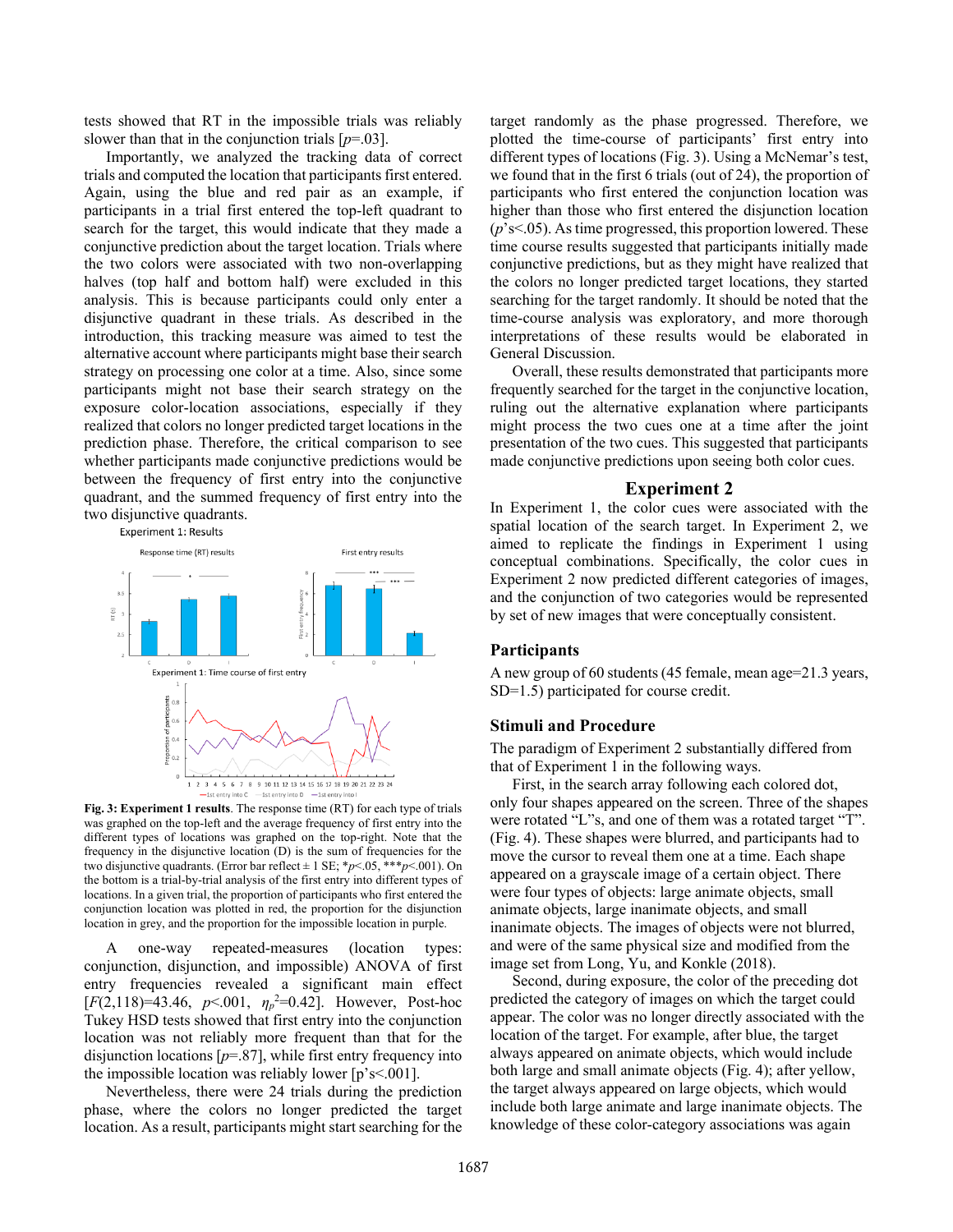tests showed that RT in the impossible trials was reliably slower than that in the conjunction trials  $[p=0.03]$ .

Importantly, we analyzed the tracking data of correct trials and computed the location that participants first entered. Again, using the blue and red pair as an example, if participants in a trial first entered the top-left quadrant to search for the target, this would indicate that they made a conjunctive prediction about the target location. Trials where the two colors were associated with two non-overlapping halves (top half and bottom half) were excluded in this analysis. This is because participants could only enter a disjunctive quadrant in these trials. As described in the introduction, this tracking measure was aimed to test the alternative account where participants might base their search strategy on processing one color at a time. Also, since some participants might not base their search strategy on the exposure color-location associations, especially if they realized that colors no longer predicted target locations in the prediction phase. Therefore, the critical comparison to see whether participants made conjunctive predictions would be between the frequency of first entry into the conjunctive quadrant, and the summed frequency of first entry into the two disjunctive quadrants.<br>Experiment 1: Results



**Fig. 3: Experiment 1 results**. The response time (RT) for each type of trials was graphed on the top-left and the average frequency of first entry into the different types of locations was graphed on the top-right. Note that the frequency in the disjunctive location (D) is the sum of frequencies for the two disjunctive quadrants. (Error bar reflect  $\pm$  1 SE;  $\frac{p}{0.05}$ ,  $\frac{***}{p}$  < 001). On the bottom is a trial-by-trial analysis of the first entry into different types of locations. In a given trial, the proportion of participants who first entered the conjunction location was plotted in red, the proportion for the disjunction location in grey, and the proportion for the impossible location in purple.

A one-way repeated-measures (location types: conjunction, disjunction, and impossible) ANOVA of first entry frequencies revealed a significant main effect  $[F(2,118)=43.46, p<.001, \eta_p^2=0.42]$ . However, Post-hoc Tukey HSD tests showed that first entry into the conjunction location was not reliably more frequent than that for the disjunction locations [*p*=.87], while first entry frequency into the impossible location was reliably lower  $[p's < 0.001]$ .

Nevertheless, there were 24 trials during the prediction phase, where the colors no longer predicted the target location. As a result, participants might start searching for the target randomly as the phase progressed. Therefore, we plotted the time-course of participants' first entry into different types of locations (Fig. 3). Using a McNemar's test, we found that in the first 6 trials (out of 24), the proportion of participants who first entered the conjunction location was higher than those who first entered the disjunction location (*p*'s<.05). As time progressed, this proportion lowered. These time course results suggested that participants initially made conjunctive predictions, but as they might have realized that the colors no longer predicted target locations, they started searching for the target randomly. It should be noted that the time-course analysis was exploratory, and more thorough interpretations of these results would be elaborated in General Discussion.

Overall, these results demonstrated that participants more frequently searched for the target in the conjunctive location, ruling out the alternative explanation where participants might process the two cues one at a time after the joint presentation of the two cues. This suggested that participants made conjunctive predictions upon seeing both color cues.

# **Experiment 2**

In Experiment 1, the color cues were associated with the spatial location of the search target. In Experiment 2, we aimed to replicate the findings in Experiment 1 using conceptual combinations. Specifically, the color cues in Experiment 2 now predicted different categories of images, and the conjunction of two categories would be represented by set of new images that were conceptually consistent.

# **Participants**

A new group of 60 students (45 female, mean age=21.3 years, SD=1.5) participated for course credit.

### **Stimuli and Procedure**

The paradigm of Experiment 2 substantially differed from that of Experiment 1 in the following ways.

First, in the search array following each colored dot, only four shapes appeared on the screen. Three of the shapes were rotated "L"s, and one of them was a rotated target "T". (Fig. 4). These shapes were blurred, and participants had to move the cursor to reveal them one at a time. Each shape appeared on a grayscale image of a certain object. There were four types of objects: large animate objects, small animate objects, large inanimate objects, and small inanimate objects. The images of objects were not blurred, and were of the same physical size and modified from the image set from Long, Yu, and Konkle (2018).

Second, during exposure, the color of the preceding dot predicted the category of images on which the target could appear. The color was no longer directly associated with the location of the target. For example, after blue, the target always appeared on animate objects, which would include both large and small animate objects (Fig. 4); after yellow, the target always appeared on large objects, which would include both large animate and large inanimate objects. The knowledge of these color-category associations was again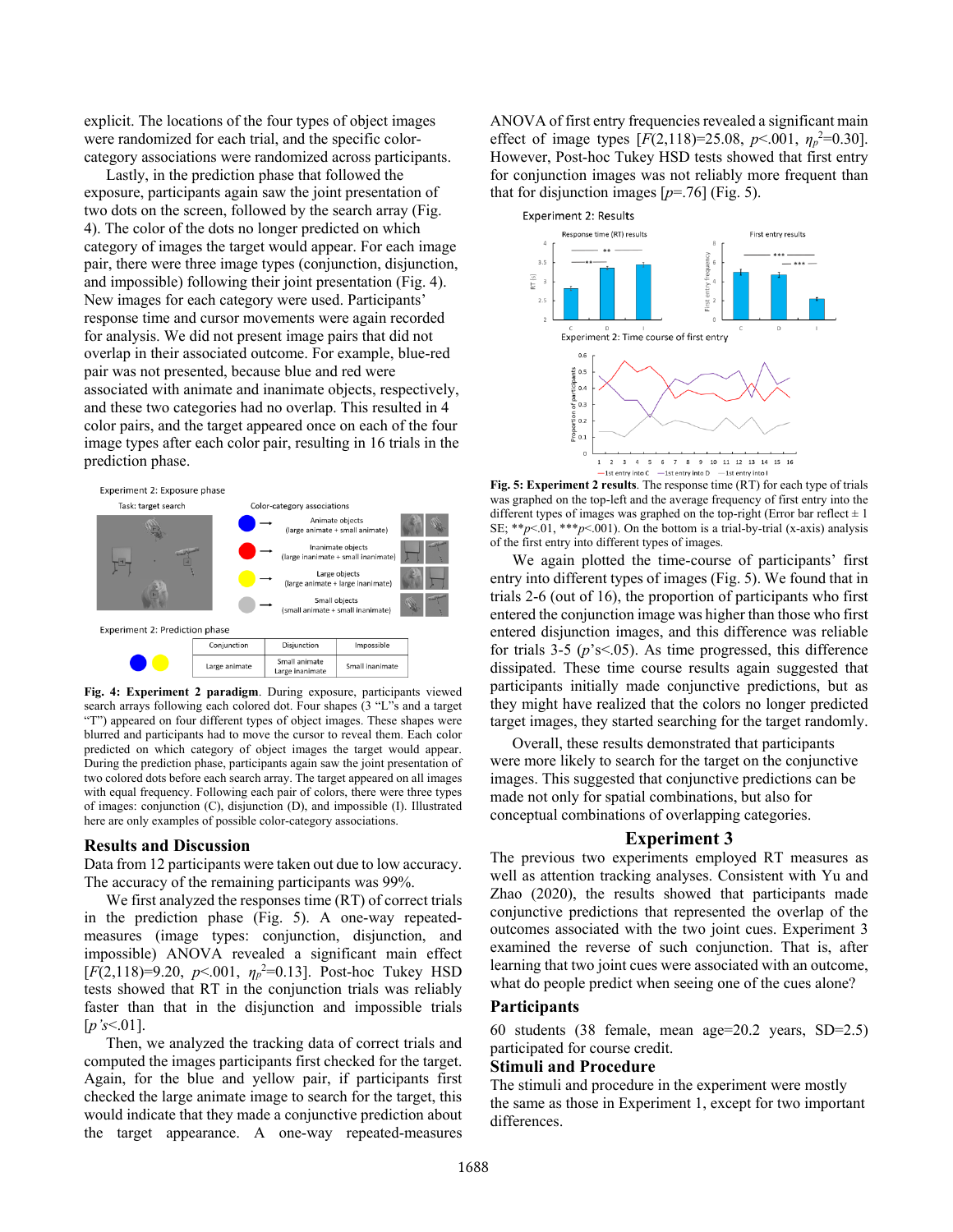explicit. The locations of the four types of object images were randomized for each trial, and the specific colorcategory associations were randomized across participants.

Lastly, in the prediction phase that followed the exposure, participants again saw the joint presentation of two dots on the screen, followed by the search array (Fig. 4). The color of the dots no longer predicted on which category of images the target would appear. For each image pair, there were three image types (conjunction, disjunction, and impossible) following their joint presentation (Fig. 4). New images for each category were used. Participants' response time and cursor movements were again recorded for analysis. We did not present image pairs that did not overlap in their associated outcome. For example, blue-red pair was not presented, because blue and red were associated with animate and inanimate objects, respectively, and these two categories had no overlap. This resulted in 4 color pairs, and the target appeared once on each of the four image types after each color pair, resulting in 16 trials in the prediction phase.



**Fig. 4: Experiment 2 paradigm**. During exposure, participants viewed search arrays following each colored dot. Four shapes (3 "L"s and a target "T") appeared on four different types of object images. These shapes were blurred and participants had to move the cursor to reveal them. Each color predicted on which category of object images the target would appear. During the prediction phase, participants again saw the joint presentation of two colored dots before each search array. The target appeared on all images with equal frequency. Following each pair of colors, there were three types of images: conjunction (C), disjunction (D), and impossible (I). Illustrated here are only examples of possible color-category associations.

#### **Results and Discussion**

Data from 12 participants were taken out due to low accuracy. The accuracy of the remaining participants was 99%.

We first analyzed the responses time (RT) of correct trials in the prediction phase (Fig. 5). A one-way repeatedmeasures (image types: conjunction, disjunction, and impossible) ANOVA revealed a significant main effect  $[F(2,118)=9.20, p<.001, \eta_p^2=0.13]$ . Post-hoc Tukey HSD tests showed that RT in the conjunction trials was reliably faster than that in the disjunction and impossible trials [*p's*<.01].

Then, we analyzed the tracking data of correct trials and computed the images participants first checked for the target. Again, for the blue and yellow pair, if participants first checked the large animate image to search for the target, this would indicate that they made a conjunctive prediction about the target appearance. A one-way repeated-measures ANOVA of first entry frequencies revealed a significant main effect of image types  $[F(2,118)=25.08, p<.001, \eta_p^2=0.30]$ . However, Post-hoc Tukey HSD tests showed that first entry for conjunction images was not reliably more frequent than that for disjunction images  $[p=76]$  (Fig. 5).



**Fig. 5: Experiment 2 results**. The response time (RT) for each type of trials was graphed on the top-left and the average frequency of first entry into the different types of images was graphed on the top-right (Error bar reflect  $\pm 1$ ) SE;  $**p<.01$ ,  $***p<.001$ ). On the bottom is a trial-by-trial (x-axis) analysis of the first entry into different types of images.

We again plotted the time-course of participants' first entry into different types of images (Fig. 5). We found that in trials 2-6 (out of 16), the proportion of participants who first entered the conjunction image was higher than those who first entered disjunction images, and this difference was reliable for trials 3-5 (*p*'s<.05). As time progressed, this difference dissipated. These time course results again suggested that participants initially made conjunctive predictions, but as they might have realized that the colors no longer predicted target images, they started searching for the target randomly.

Overall, these results demonstrated that participants were more likely to search for the target on the conjunctive images. This suggested that conjunctive predictions can be made not only for spatial combinations, but also for conceptual combinations of overlapping categories.

# **Experiment 3**

The previous two experiments employed RT measures as well as attention tracking analyses. Consistent with Yu and Zhao (2020), the results showed that participants made conjunctive predictions that represented the overlap of the outcomes associated with the two joint cues. Experiment 3 examined the reverse of such conjunction. That is, after learning that two joint cues were associated with an outcome, what do people predict when seeing one of the cues alone?

### **Participants**

60 students (38 female, mean age=20.2 years, SD=2.5) participated for course credit.

#### **Stimuli and Procedure**

The stimuli and procedure in the experiment were mostly the same as those in Experiment 1, except for two important differences.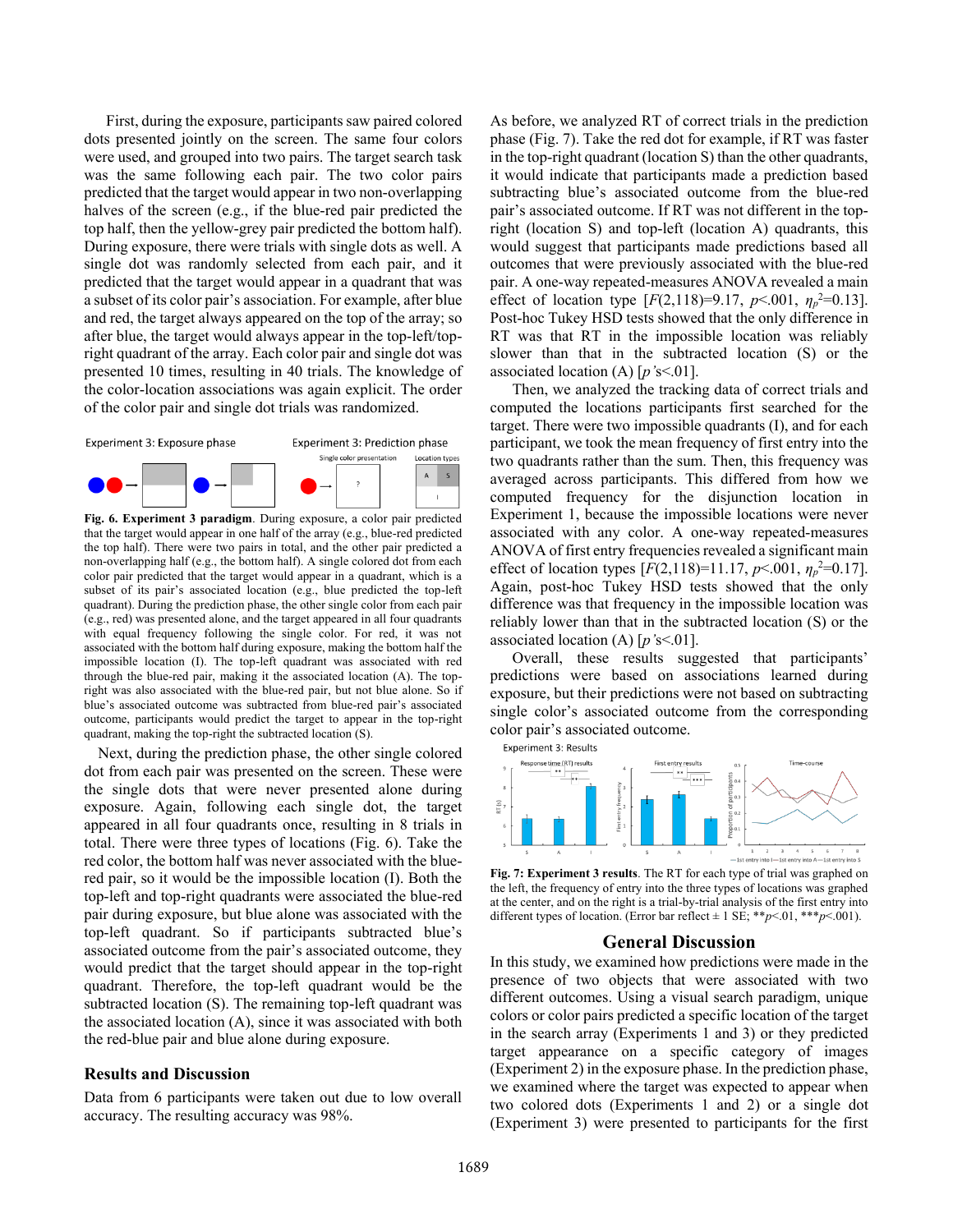First, during the exposure, participants saw paired colored dots presented jointly on the screen. The same four colors were used, and grouped into two pairs. The target search task was the same following each pair. The two color pairs predicted that the target would appear in two non-overlapping halves of the screen (e.g., if the blue-red pair predicted the top half, then the yellow-grey pair predicted the bottom half). During exposure, there were trials with single dots as well. A single dot was randomly selected from each pair, and it predicted that the target would appear in a quadrant that was a subset of its color pair's association. For example, after blue and red, the target always appeared on the top of the array; so after blue, the target would always appear in the top-left/topright quadrant of the array. Each color pair and single dot was presented 10 times, resulting in 40 trials. The knowledge of the color-location associations was again explicit. The order of the color pair and single dot trials was randomized.



**Fig. 6. Experiment 3 paradigm**. During exposure, a color pair predicted that the target would appear in one half of the array (e.g., blue-red predicted the top half). There were two pairs in total, and the other pair predicted a non-overlapping half (e.g., the bottom half). A single colored dot from each color pair predicted that the target would appear in a quadrant, which is a subset of its pair's associated location (e.g., blue predicted the top-left quadrant). During the prediction phase, the other single color from each pair (e.g., red) was presented alone, and the target appeared in all four quadrants with equal frequency following the single color. For red, it was not associated with the bottom half during exposure, making the bottom half the impossible location (I). The top-left quadrant was associated with red through the blue-red pair, making it the associated location (A). The topright was also associated with the blue-red pair, but not blue alone. So if blue's associated outcome was subtracted from blue-red pair's associated outcome, participants would predict the target to appear in the top-right quadrant, making the top-right the subtracted location (S).

Next, during the prediction phase, the other single colored dot from each pair was presented on the screen. These were the single dots that were never presented alone during exposure. Again, following each single dot, the target appeared in all four quadrants once, resulting in 8 trials in total. There were three types of locations (Fig. 6). Take the red color, the bottom half was never associated with the bluered pair, so it would be the impossible location (I). Both the top-left and top-right quadrants were associated the blue-red pair during exposure, but blue alone was associated with the top-left quadrant. So if participants subtracted blue's associated outcome from the pair's associated outcome, they would predict that the target should appear in the top-right quadrant. Therefore, the top-left quadrant would be the subtracted location (S). The remaining top-left quadrant was the associated location (A), since it was associated with both the red-blue pair and blue alone during exposure.

# **Results and Discussion**

Data from 6 participants were taken out due to low overall accuracy. The resulting accuracy was 98%.

As before, we analyzed RT of correct trials in the prediction phase (Fig. 7). Take the red dot for example, if RT was faster in the top-right quadrant (location S) than the other quadrants, it would indicate that participants made a prediction based subtracting blue's associated outcome from the blue-red pair's associated outcome. If RT was not different in the topright (location S) and top-left (location A) quadrants, this would suggest that participants made predictions based all outcomes that were previously associated with the blue-red pair. A one-way repeated-measures ANOVA revealed a main effect of location type  $[F(2,118)=9.17, p<.001, \eta_p^2=0.13]$ . Post-hoc Tukey HSD tests showed that the only difference in RT was that RT in the impossible location was reliably slower than that in the subtracted location (S) or the associated location (A) [*p'*s<.01].

Then, we analyzed the tracking data of correct trials and computed the locations participants first searched for the target. There were two impossible quadrants (I), and for each participant, we took the mean frequency of first entry into the two quadrants rather than the sum. Then, this frequency was averaged across participants. This differed from how we computed frequency for the disjunction location in Experiment 1, because the impossible locations were never associated with any color. A one-way repeated-measures ANOVA of first entry frequencies revealed a significant main effect of location types  $[F(2,118)=11.17, p<.001, \eta_p^2=0.17]$ . Again, post-hoc Tukey HSD tests showed that the only difference was that frequency in the impossible location was reliably lower than that in the subtracted location (S) or the associated location (A) [*p'*s<.01].

Overall, these results suggested that participants' predictions were based on associations learned during exposure, but their predictions were not based on subtracting single color's associated outcome from the corresponding color pair's associated outcome.



**Fig. 7: Experiment 3 results**. The RT for each type of trial was graphed on the left, the frequency of entry into the three types of locations was graphed at the center, and on the right is a trial-by-trial analysis of the first entry into different types of location. (Error bar reflect  $\pm$  1 SE; \*\**p*<.01, \*\*\**p*<.001).

#### **General Discussion**

In this study, we examined how predictions were made in the presence of two objects that were associated with two different outcomes. Using a visual search paradigm, unique colors or color pairs predicted a specific location of the target in the search array (Experiments 1 and 3) or they predicted target appearance on a specific category of images (Experiment 2) in the exposure phase. In the prediction phase, we examined where the target was expected to appear when two colored dots (Experiments 1 and 2) or a single dot (Experiment 3) were presented to participants for the first